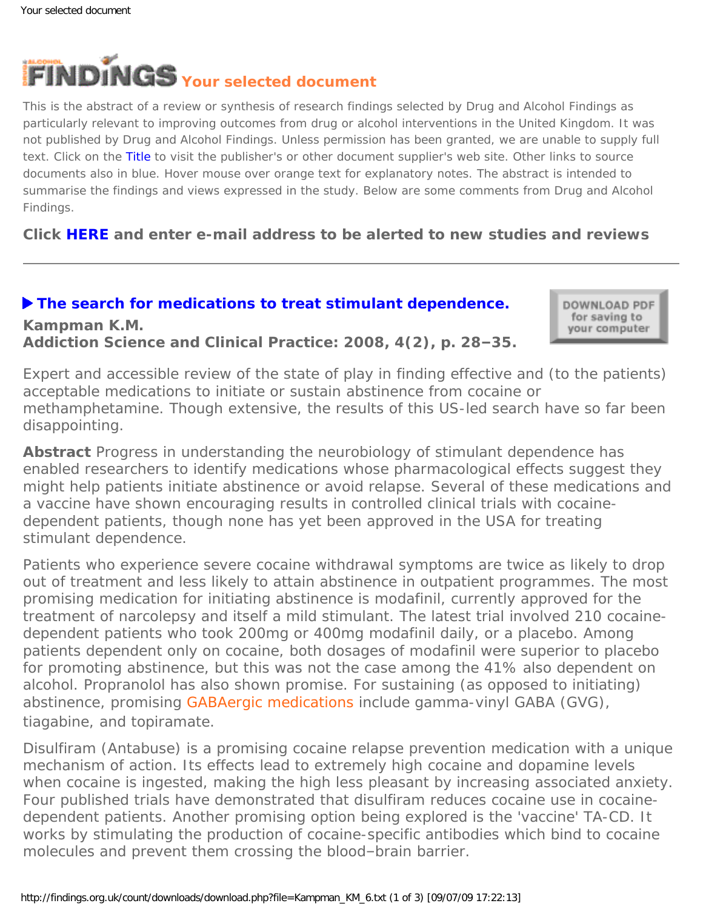**Kampman K.M.**

<span id="page-0-0"></span>

This is the abstract of a review or synthesis of research findings selected by Drug and Alcohol Findings as particularly relevant to improving outcomes from drug or alcohol interventions in the United Kingdom. It was not published by Drug and Alcohol Findings. Unless permission has been granted, we are unable to supply full text. Click on the Title to visit the publisher's or other document supplier's web site. Other links to source documents also in blue. Hover mouse over orange text for explanatory notes. The abstract is intended to summarise the findings and views expressed in the study. Below are some comments from Drug and Alcohol Findings.

**Click [HERE](https://findings.org.uk/index.php#signUp) and enter e-mail address to be alerted to new studies and reviews**

## **[The search for medications to treat stimulant dependence.](http://www.nida.nih.gov/pdf/ascp/vol4no2/Search.pdf)**

DOWNLOAD PDF for saving to your computer

**Addiction Science and Clinical Practice: 2008, 4(2), p. 28–35.**

Expert and accessible review of the state of play in finding effective and (to the patients) acceptable medications to initiate or sustain abstinence from cocaine or methamphetamine. Though extensive, the results of this US-led search have so far been disappointing.

**Abstract** Progress in understanding the neurobiology of stimulant dependence has enabled researchers to identify medications whose pharmacological effects suggest they might help patients initiate abstinence or avoid relapse. Several of these medications and a vaccine have shown encouraging results in controlled clinical trials with cocainedependent patients, though none has yet been approved in the USA for treating stimulant dependence.

Patients who experience severe cocaine withdrawal symptoms are twice as likely to drop out of treatment and less likely to attain abstinence in outpatient programmes. The most promising medication for initiating abstinence is modafinil, currently approved for the treatment of narcolepsy and itself a mild stimulant. The latest trial involved 210 cocainedependent patients who took 200mg or 400mg modafinil daily, or a placebo. Among patients dependent only on cocaine, both dosages of modafinil were superior to placebo for promoting abstinence, but this was not the case among the 41% also dependent on alcohol. Propranolol has also shown promise. For sustaining (as opposed to initiating) abstinence, promising [GABAergic medications](#page-0-0) include gamma-vinyl GABA (GVG), tiagabine, and topiramate.

Disulfiram (Antabuse) is a promising cocaine relapse prevention medication with a unique mechanism of action. Its effects lead to extremely high cocaine and dopamine levels when cocaine is ingested, making the high less pleasant by increasing associated anxiety. Four published trials have demonstrated that disulfiram reduces cocaine use in cocainedependent patients. Another promising option being explored is the 'vaccine' TA-CD. It works by stimulating the production of cocaine-specific antibodies which bind to cocaine molecules and prevent them crossing the blood–brain barrier.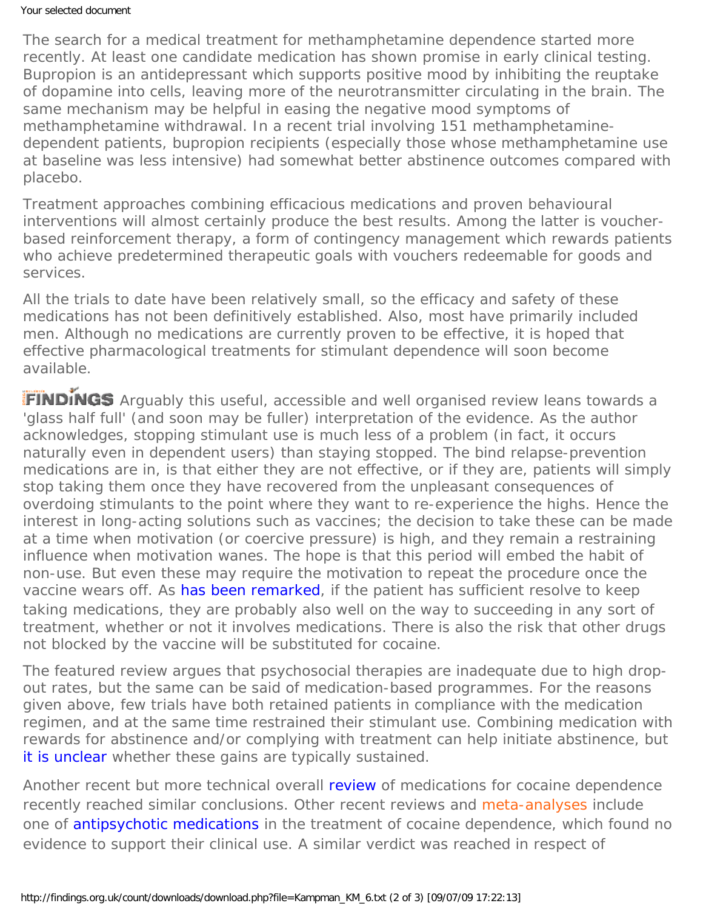## Your selected document

The search for a medical treatment for methamphetamine dependence started more recently. At least one candidate medication has shown promise in early clinical testing. Bupropion is an antidepressant which supports positive mood by inhibiting the reuptake of dopamine into cells, leaving more of the neurotransmitter circulating in the brain. The same mechanism may be helpful in easing the negative mood symptoms of methamphetamine withdrawal. In a recent trial involving 151 methamphetaminedependent patients, bupropion recipients (especially those whose methamphetamine use at baseline was less intensive) had somewhat better abstinence outcomes compared with placebo.

Treatment approaches combining efficacious medications and proven behavioural interventions will almost certainly produce the best results. Among the latter is voucherbased reinforcement therapy, a form of contingency management which rewards patients who achieve predetermined therapeutic goals with vouchers redeemable for goods and services.

All the trials to date have been relatively small, so the efficacy and safety of these medications has not been definitively established. Also, most have primarily included men. Although no medications are currently proven to be effective, it is hoped that effective pharmacological treatments for stimulant dependence will soon become available.

FINDINGS Arguably this useful, accessible and well organised review leans towards a 'glass half full' (and soon may be fuller) interpretation of the evidence. As the author acknowledges, stopping stimulant use is much less of a problem (in fact, it occurs naturally even in dependent users) than staying stopped. The bind relapse-prevention medications are in, is that either they are not effective, or if they are, patients will simply stop taking them once they have recovered from the unpleasant consequences of overdoing stimulants to the point where they want to re-experience the highs. Hence the interest in long-acting solutions such as vaccines; the decision to take these can be made at a time when motivation (or coercive pressure) is high, and they remain a restraining influence when motivation wanes. The hope is that this period will embed the habit of non-use. But even these may require the motivation to repeat the procedure once the vaccine wears off. As [has been remarked](http://www.emcdda.europa.eu/html.cfm/index18945EN.html), if the patient has sufficient resolve to keep taking medications, they are probably also well on the way to succeeding in any sort of treatment, whether or not it involves medications. There is also the risk that other drugs not blocked by the vaccine will be substituted for cocaine.

The featured review argues that psychosocial therapies are inadequate due to high dropout rates, but the same can be said of medication-based programmes. For the reasons given above, few trials have both retained patients in compliance with the medication regimen, and at the same time restrained their stimulant use. Combining medication with rewards for abstinence and/or complying with treatment can help initiate abstinence, but [it is unclear](https://findings.org.uk/count/downloads/download.php?file=Lee_NK_1.txt) whether these gains are typically sustained.

Another recent but more technical overall [review](http://dx.doi.org/10.1017/S1461145707008097) of medications for cocaine dependence recently reached similar conclusions. Other recent reviews and [meta-analyses](#page-0-0) include one of [antipsychotic medications](http://dx.doi.org/10.1002/14651858.CD006306.pub2) in the treatment of cocaine dependence, which found no evidence to support their clinical use. A similar verdict was reached in respect of